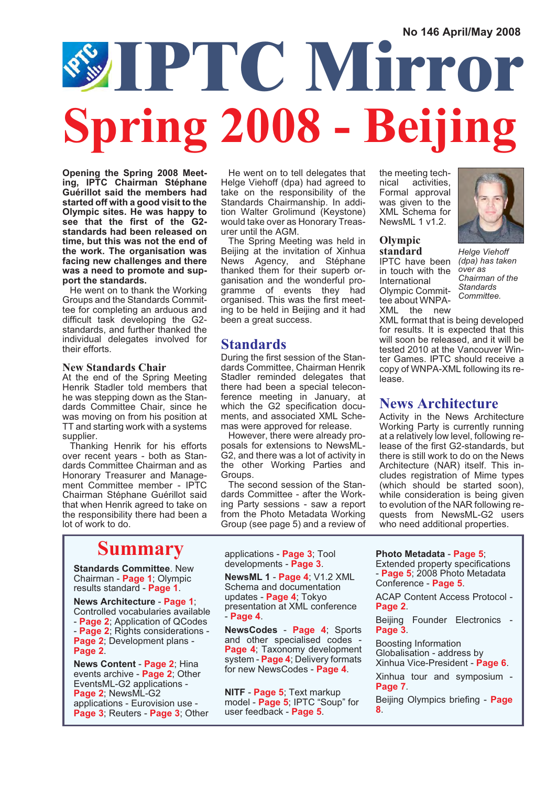# **IPTC Mirror Spring 2008 - Beijing**

**Opening the Spring 2008 Meeting, IPTC Chairman Stéphane Guérillot said the members had started off with a good visit to the Olympic sites. He was happy to see that the first of the G2 standards had been released on time, but this was not the end of the work. The organisation was facing new challenges and there was a need to promote and support the standards.**

He went on to thank the Working Groups and the Standards Committee for completing an arduous and difficult task developing the G2 standards, and further thanked the individual delegates involved for their efforts.

#### **New Standards Chair**

At the end of the Spring Meeting Henrik Stadler told members that he was stepping down as the Standards Committee Chair, since he was moving on from his position at TT and starting work with a systems supplier.

Thanking Henrik for his efforts over recent years - both as Standards Committee Chairman and as Honorary Treasurer and Management Committee member - IPTC Chairman Stéphane Guérillot said that when Henrik agreed to take on the responsibility there had been a lot of work to do.

He went on to tell delegates that Helge Viehoff (dpa) had agreed to take on the responsibility of the Standards Chairmanship. In addition Walter Grolimund (Keystone) would take over as Honorary Treasurer until the AGM.

The Spring Meeting was held in Beijing at the invitation of Xinhua News Agency, and Stéphane thanked them for their superb organisation and the wonderful programme of events they had organised. This was the first meeting to be held in Beijing and it had been a great success.

# **Standards**

During the first session of the Standards Committee, Chairman Henrik Stadler reminded delegates that there had been a special teleconference meeting in January, at which the G2 specification documents, and associated XML Schemas were approved for release.

However, there were already proposals for extensions to NewsML-G2, and there was a lot of activity in the other Working Parties and Groups.

The second session of the Standards Committee - after the Working Party sessions - saw a report from the Photo Metadata Working Group (see page 5) and a review of the meeting technical activities, Formal approval was given to the XML Schema for NewsML 1 v1.2.

#### **Olympic standard**

IPTC have been in touch with the International Olympic Committee about WNPA-XML the new



*Helge Viehoff (dpa) has taken over as Chairman of the Standards Committee.*

XML format that is being developed for results. It is expected that this will soon be released, and it will be tested 2010 at the Vancouver Winter Games. IPTC should receive a copy of WNPA-XML following its release.

# **News Architecture**

Activity in the News Architecture Working Party is currently running at a relatively low level, following release of the first G2-standards, but there is still work to do on the News Architecture (NAR) itself. This includes registration of Mime types (which should be started soon), while consideration is being given to evolution of the NAR following requests from NewsML-G2 users who need additional properties.

# **Summary**

**Standards Committee**. New Chairman - **Page 1**; Olympic results standard - **Page 1**.

**News Architecture** - **Page 1**; Controlled vocabularies available - **[Page 2](#page-1-0)**; Application of QCodes - **[Page 2](#page-1-0)**; Rights considerations - **[Page 2](#page-1-0)**; Development plans - **[Page 2](#page-1-0)**.

**News Content** - **[Page 2](#page-1-0)**; Hina events archive - **[Page 2](#page-1-0)**; Other EventsML-G2 applications - **[Page 2](#page-1-0)**; NewsML-G2 applications - Eurovision use - **[Page 3](#page-2-0)**; Reuters - **[Page 3](#page-2-0)**; Other applications - **[Page 3](#page-2-0)**; Tool developments - **[Page 3](#page-2-0)**.

**NewsML 1** - **[Page 4](#page-3-0)**; V1.2 XML Schema and documentation updates - **[Page 4](#page-3-0)**; Tokyo presentation at XML conference - **[Page 4](#page-3-0)**.

**NewsCodes** - **[Page 4](#page-3-0)**; Sports and other specialised codes - **[Page 4](#page-3-0)**; Taxonomy development system - **[Page 4](#page-3-0)**; Delivery formats for new NewsCodes - **[Page 4](#page-3-0)**.

**NITF** - **[Page 5](#page-4-0)**; Text markup model - **[Page 5](#page-4-0)**; IPTC "Soup" for user feedback - **[Page 5](#page-4-0)**.

#### **Photo Metadata** - **[Page 5](#page-4-0)**;

Extended property specifications - **[Page 5](#page-4-0)**; 2008 Photo Metadata Conference - **[Page 5](#page-4-0)**.

ACAP Content Access Protocol - **[Page 2](#page-1-0)**.

Beijing Founder Electronics - **[Page 3](#page-2-0)**.

Boosting Information Globalisation - address by Xinhua Vice-President - **[Page 6](#page-5-0)**.

Xinhua tour and symposium - **[Page 7](#page-6-0)**.

Beijing Olympics briefing - **[Page](#page-7-0) [8](#page-7-0)**.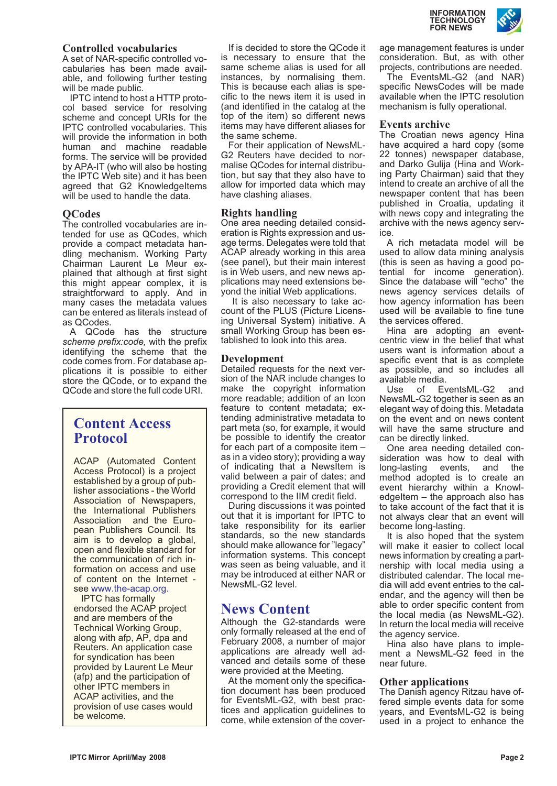

#### <span id="page-1-0"></span>**Controlled vocabularies**

A set of NAR-specific controlled vocabularies has been made available, and following further testing will be made public.

IPTC intend to host a HTTP protocol based service for resolving scheme and concept URIs for the IPTC controlled vocabularies. This will provide the information in both human and machine readable forms. The service will be provided by APA-IT (who will also be hosting the IPTC Web site) and it has been agreed that G2 KnowledgeItems will be used to handle the data.

#### **QCodes**

The controlled vocabularies are intended for use as QCodes, which provide a compact metadata handling mechanism. Working Party Chairman Laurent Le Meur explained that although at first sight this might appear complex, it is straightforward to apply. And in many cases the metadata values can be entered as literals instead of as QCodes.

A QCode has the structure *scheme prefix:code,* with the prefix identifying the scheme that the code comes from. For database applications it is possible to either store the QCode, or to expand the QCode and store the full code URI.

# **Content Access Protocol**

ACAP (Automated Content Access Protocol) is a project established by a group of publisher associations - the World Association of Newspapers, the International Publishers Association and the European Publishers Council. Its aim is to develop a global, open and flexible standard for the communication of rich information on access and use of content on the Internet see [www.the-acap.org.](http://www.the-acap.org)

IPTC has formally endorsed the ACAP project and are members of the Technical Working Group, along with afp, AP, dpa and Reuters. An application case for syndication has been provided by Laurent Le Meur (afp) and the participation of other IPTC members in ACAP activities, and the provision of use cases would be welcome.

If is decided to store the QCode it is necessary to ensure that the same scheme alias is used for all instances, by normalising them. This is because each alias is specific to the news item it is used in (and identified in the catalog at the top of the item) so different news items may have different aliases for the same scheme.

For their application of NewsML-G2 Reuters have decided to normalise QCodes for internal distribution, but say that they also have to allow for imported data which may have clashing aliases.

#### **Rights handling**

One area needing detailed consideration is Rights expression and usage terms. Delegates were told that ACAP already working in this area (see panel), but their main interest is in Web users, and new news applications may need extensions beyond the initial Web applications.

It is also necessary to take account of the PLUS (Picture Licensing Universal System) initiative. A small Working Group has been established to look into this area.

#### **Development**

Detailed requests for the next version of the NAR include changes to make the copyright information more readable; addition of an Icon feature to content metadata; extending administrative metadata to part meta (so, for example, it would be possible to identify the creator for each part of a composite item – as in a video story); providing a way of indicating that a NewsItem is valid between a pair of dates; and providing a Credit element that will correspond to the IIM credit field.

During discussions it was pointed out that it is important for IPTC to take responsibility for its earlier standards, so the new standards should make allowance for "legacy" information systems. This concept was seen as being valuable, and it may be introduced at either NAR or NewsML-G2 level.

## **News Content**

Although the G2-standards were only formally released at the end of February 2008, a number of major applications are already well advanced and details some of these were provided at the Meeting.

At the moment only the specification document has been produced for EventsML-G2, with best practices and application guidelines to come, while extension of the coverage management features is under consideration. But, as with other projects, contributions are needed.

The EventsML-G2 (and NAR) specific NewsCodes will be made available when the IPTC resolution mechanism is fully operational.

#### **Events archive**

The Croatian news agency Hina have acquired a hard copy (some 22 tonnes) newspaper database, and Darko Gulija (Hina and Working Party Chairman) said that they intend to create an archive of all the newspaper content that has been published in Croatia, updating it with news copy and integrating the archive with the news agency service.

A rich metadata model will be used to allow data mining analysis (this is seen as having a good potential for income generation). Since the database will "echo" the news agency services details of how agency information has been used will be available to fine tune the services offered.

Hina are adopting an eventcentric view in the belief that what users want is information about a specific event that is as complete as possible, and so includes all available media.

Use of EventsML-G2 and NewsML-G2 together is seen as an elegant way of doing this. Metadata on the event and on news content will have the same structure and can be directly linked.

One area needing detailed consideration was how to deal with long-lasting events, and the method adopted is to create an event hierarchy within a KnowledgeItem – the approach also has to take account of the fact that it is not always clear that an event will become long-lasting.

It is also hoped that the system will make it easier to collect local news information by creating a partnership with local media using a distributed calendar. The local media will add event entries to the calendar, and the agency will then be able to order specific content from the local media (as NewsML-G2). In return the local media will receive the agency service.

Hina also have plans to implement a NewsML-G2 feed in the near future.

#### **Other applications**

The Danish agency Ritzau have offered simple events data for some years, and EventsML-G2 is being used in a project to enhance the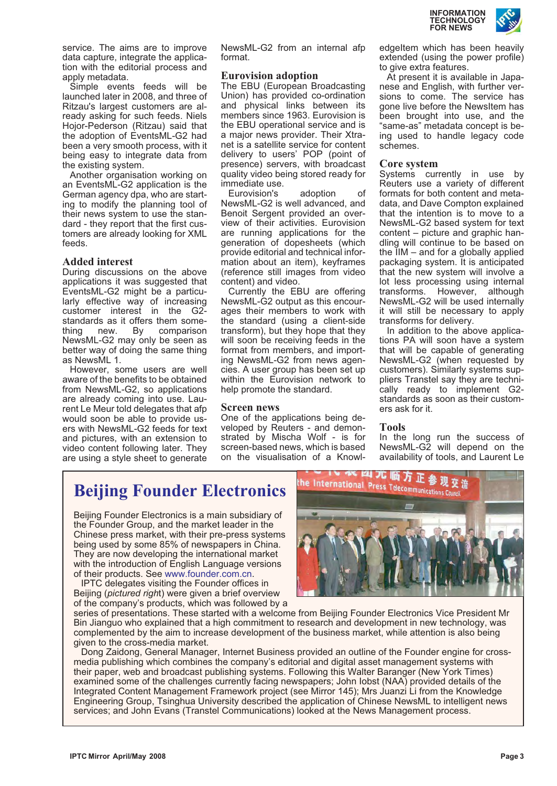

<span id="page-2-0"></span>service. The aims are to improve data capture, integrate the application with the editorial process and apply metadata.

Simple events feeds will be launched later in 2008, and three of Ritzau's largest customers are already asking for such feeds. Niels Hojor-Pederson (Ritzau) said that the adoption of EventsML-G2 had been a very smooth process, with it being easy to integrate data from the existing system.

Another organisation working on an EventsML-G2 application is the German agency dpa, who are starting to modify the planning tool of their news system to use the standard - they report that the first customers are already looking for XML feeds.

#### **Added interest**

During discussions on the above applications it was suggested that EventsML-G2 might be a particularly effective way of increasing customer interest in the G2 standards as it offers them some-<br>thing new. By comparison new. By comparison NewsML-G2 may only be seen as better way of doing the same thing as NewsML 1.

However, some users are well aware of the benefits to be obtained from NewsML-G2, so applications are already coming into use. Laurent Le Meur told delegates that afp would soon be able to provide users with NewsML-G2 feeds for text and pictures, with an extension to video content following later. They are using a style sheet to generate

NewsML-G2 from an internal afp format.

#### **Eurovision adoption**

The EBU (European Broadcasting Union) has provided co-ordination and physical links between its members since 1963. Eurovision is the EBU operational service and is a major news provider. Their Xtranet is a satellite service for content delivery to users' POP (point of presence) servers, with broadcast quality video being stored ready for immediate use.

Eurovision's adoption of NewsML-G2 is well advanced, and Benoit Sergent provided an overview of their activities. Eurovision are running applications for the generation of dopesheets (which provide editorial and technical information about an item), keyframes (reference still images from video content) and video.

Currently the EBU are offering NewsML-G2 output as this encourages their members to work with the standard (using a client-side transform), but they hope that they will soon be receiving feeds in the format from members, and importing NewsML-G2 from news agencies. A user group has been set up within the Eurovision network to help promote the standard.

#### **Screen news**

One of the applications being developed by Reuters - and demonstrated by Mischa Wolf - is for screen-based news, which is based on the visualisation of a Knowl-

edgeItem which has been heavily extended (using the power profile) to give extra features.

At present it is available in Japanese and English, with further versions to come. The service has gone live before the NewsItem has been brought into use, and the "same-as" metadata concept is being used to handle legacy code schemes.

#### **Core system**

Systems currently in use by Reuters use a variety of different formats for both content and metadata, and Dave Compton explained that the intention is to move to a NewsML-G2 based system for text content – picture and graphic handling will continue to be based on the  $\overline{\text{I}}\text{I}\text{M}$  – and for a globally applied packaging system. It is anticipated that the new system will involve a lot less processing using internal transforms. However, although NewsML-G2 will be used internally it will still be necessary to apply transforms for delivery.

In addition to the above applications PA will soon have a system that will be capable of generating NewsML-G2 (when requested by customers). Similarly systems suppliers Transtel say they are technically ready to implement G2 standards as soon as their customers ask for it.

#### **Tools**

In the long run the success of NewsML-G2 will depend on the availability of tools, and Laurent Le

# **Beijing Founder Electronics**

Beijing Founder Electronics is a main subsidiary of the Founder Group, and the market leader in the Chinese press market, with their pre-press systems being used by some 85% of newspapers in China. They are now developing the international market with the introduction of English Language versions of their products. See [www.founder.com.cn.](http://www.founder.com.cn)

IPTC delegates visiting the Founder offices in Beijing (*pictured righ*t) were given a brief overview of the company's products, which was followed by a



series of presentations. These started with a welcome from Beijing Founder Electronics Vice President Mr Bin Jianguo who explained that a high commitment to research and development in new technology, was complemented by the aim to increase development of the business market, while attention is also being given to the cross-media market.

Dong Zaidong, General Manager, Internet Business provided an outline of the Founder engine for crossmedia publishing which combines the company's editorial and digital asset management systems with their paper, web and broadcast publishing systems. Following this Walter Baranger (New York Times) examined some of the challenges currently facing newspapers; John Iobst (NAA) provided details of the Integrated Content Management Framework project (see Mirror 145); Mrs Juanzi Li from the Knowledge Engineering Group, Tsinghua University described the application of Chinese NewsML to intelligent news services; and John Evans (Transtel Communications) looked at the News Management process.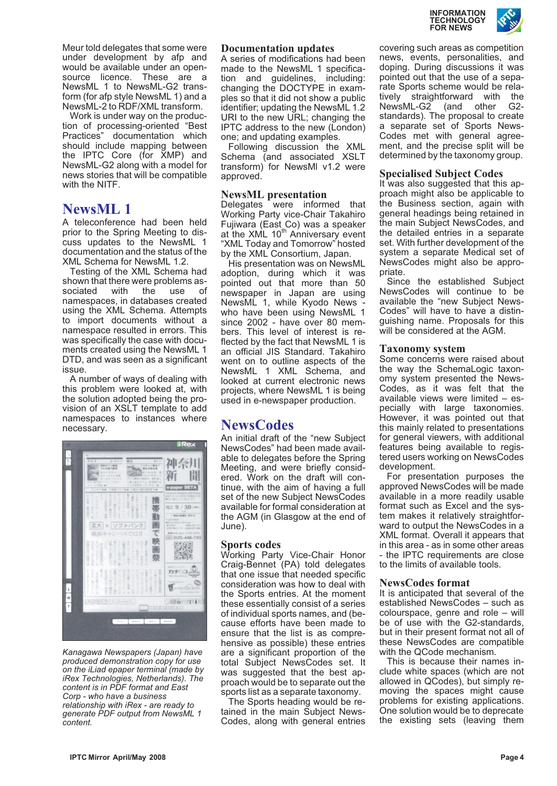

<span id="page-3-0"></span>Meur told delegates that some were under development by afp and would be available under an opensource licence. These are a NewsML 1 to NewsML-G2 transform (for afp style NewsML 1) and a NewsML-2 to RDF/XML transform.

Work is under way on the production of processing-oriented "Best Practices" documentation which should include mapping between the IPTC Core (for XMP) and NewsML-G2 along with a model for news stories that will be compatible with the NITF.

# **NewsML 1**

A teleconference had been held prior to the Spring Meeting to discuss updates to the NewsML 1 documentation and the status of the XML Schema for NewsML 1.2.

Testing of the XML Schema had shown that there were problems associated with the use of namespaces, in databases created using the XML Schema. Attempts to import documents without a namespace resulted in errors. This was specifically the case with documents created using the NewsML 1 DTD, and was seen as a significant issue.

A number of ways of dealing with this problem were looked at, with the solution adopted being the provision of an XSLT template to add namespaces to instances where necessary.



*Kanagawa Newspapers (Japan) have produced demonstration copy for use on the iLiad epaper terminal (made by iRex Technologies, Netherlands). The content is in PDF format and East Corp - who have a business relationship with iRex - are ready to generate PDF output from NewsML 1 content.*

#### **Documentation updates**

A series of modifications had been made to the NewsML 1 specification and guidelines, including: changing the DOCTYPE in examples so that it did not show a public identifier; updating the NewsML 1.2 URI to the new URL; changing the IPTC address to the new (London) one; and updating examples.

Following discussion the XML Schema (and associated XSLT transform) for NewsMl v1.2 were approved.

#### **NewsML presentation**

Delegates were informed that Working Party vice-Chair Takahiro Fujiwara (East Co) was a speaker at the XML 10<sup>th</sup> Anniversary event "XML Today and Tomorrow" hosted by the XML Consortium, Japan.

His presentation was on NewsML adoption, during which it was pointed out that more than 50 newspaper in Japan are using NewsML 1, while Kyodo News who have been using NewsML 1 since 2002 - have over 80 members. This level of interest is reflected by the fact that NewsML 1 is an official JIS Standard. Takahiro went on to outline aspects of the NewsML 1 XML Schema, and looked at current electronic news projects, where NewsML 1 is being used in e-newspaper production.

#### **NewsCodes**

An initial draft of the "new Subject NewsCodes" had been made available to delegates before the Spring Meeting, and were briefly considered. Work on the draft will continue, with the aim of having a full set of the new Subject NewsCodes available for formal consideration at the AGM (in Glasgow at the end of June).

#### **Sports codes**

Working Party Vice-Chair Honor Craig-Bennet (PA) told delegates that one issue that needed specific consideration was how to deal with the Sports entries. At the moment these essentially consist of a series of individual sports names, and (because efforts have been made to ensure that the list is as comprehensive as possible) these entries are a significant proportion of the total Subject NewsCodes set. It was suggested that the best approach would be to separate out the sports list as a separate taxonomy.

The Sports heading would be retained in the main Subject News-Codes, along with general entries covering such areas as competition news, events, personalities, and doping. During discussions it was pointed out that the use of a separate Sports scheme would be relatively straightforward with the NewsML-G2 (and other G2 standards). The proposal to create a separate set of Sports News-Codes met with general agreement, and the precise split will be determined by the taxonomy group.

#### **Specialised Subject Codes**

It was also suggested that this approach might also be applicable to the Business section, again with general headings being retained in the main Subject NewsCodes, and the detailed entries in a separate set. With further development of the system a separate Medical set of NewsCodes might also be appropriate.

Since the established Subject NewsCodes will continue to be available the "new Subject News-Codes" will have to have a distinguishing name. Proposals for this will be considered at the AGM.

#### **Taxonomy system**

Some concerns were raised about the way the SchemaLogic taxonomy system presented the News-Codes, as it was felt that the available views were limited – especially with large taxonomies. However, it was pointed out that this mainly related to presentations for general viewers, with additional features being available to registered users working on NewsCodes development.

For presentation purposes the approved NewsCodes will be made available in a more readily usable format such as Excel and the system makes it relatively straightforward to output the NewsCodes in a XML format. Overall it appears that in this area - as in some other areas - the IPTC requirements are close to the limits of available tools.

#### **NewsCodes format**

It is anticipated that several of the established NewsCodes – such as colourspace, genre and role – will be of use with the G2-standards, but in their present format not all of these NewsCodes are compatible with the QCode mechanism.

This is because their names include white spaces (which are not allowed in QCodes), but simply removing the spaces might cause problems for existing applications. One solution would be to deprecate the existing sets (leaving them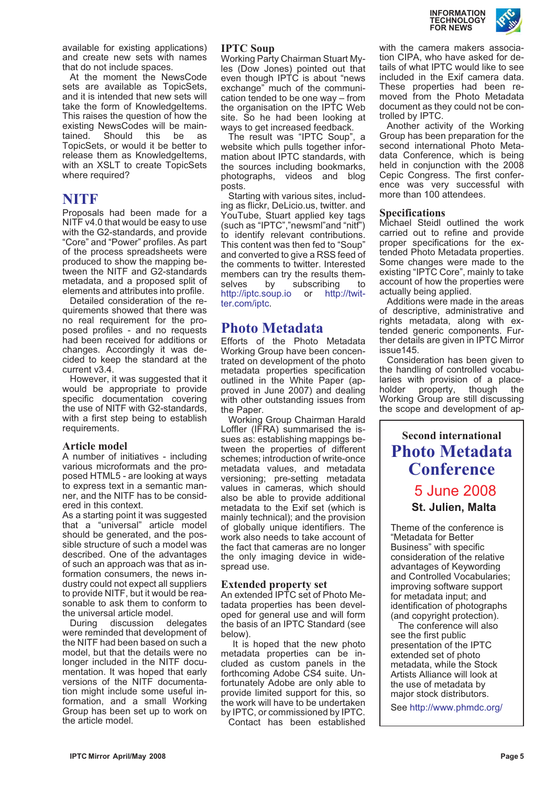

<span id="page-4-0"></span>available for existing applications) and create new sets with names that do not include spaces.

At the moment the NewsCode sets are available as TopicSets, and it is intended that new sets will take the form of KnowledgeItems. This raises the question of how the existing NewsCodes will be maintained. Should this be as TopicSets, or would it be better to release them as KnowledgeItems, with an XSLT to create TopicSets where required?

# **NITF**

Proposals had been made for a NITF v4.0 that would be easy to use with the G2-standards, and provide "Core" and "Power" profiles. As part of the process spreadsheets were produced to show the mapping between the NITF and G2-standards metadata, and a proposed split of elements and attributes into profile.

Detailed consideration of the requirements showed that there was no real requirement for the proposed profiles - and no requests had been received for additions or changes. Accordingly it was decided to keep the standard at the current v3.4.

However, it was suggested that it would be appropriate to provide specific documentation covering the use of NITF with G2-standards, with a first step being to establish requirements.

#### **Article model**

A number of initiatives - including various microformats and the proposed HTML5 - are looking at ways to express text in a semantic manner, and the NITF has to be considered in this context.

As a starting point it was suggested that a "universal" article model should be generated, and the possible structure of such a model was described. One of the advantages of such an approach was that as information consumers, the news industry could not expect all suppliers to provide NITF, but it would be reasonable to ask them to conform to the universal article model.

During discussion delegates were reminded that development of the NITF had been based on such a model, but that the details were no longer included in the NITF documentation. It was hoped that early versions of the NITF documentation might include some useful information, and a small Working Group has been set up to work on the article model.

#### **IPTC Soup**

Working Party Chairman Stuart Myles (Dow Jones) pointed out that even though IPTC is about "news exchange" much of the communication tended to be one way – from the organisation on the IPTC Web site. So he had been looking at ways to get increased feedback.

The result was "IPTC Soup", a website which pulls together information about IPTC standards, with the sources including bookmarks, photographs, videos and blog posts.

Starting with various sites, including as flickr, DeLicio.us, twitter. and YouTube, Stuart applied key tags (such as "IPTC","newsml"and "nitf") to identify relevant contributions. This content was then fed to "Soup" and converted to give a RSS feed of the comments to twitter. Interested members can try the results themselves by subscribing to <http://iptc.soup.io> or [http://twit](http://twitter.com/iptc)[ter.com/iptc.](http://twitter.com/iptc)

## **Photo Metadata**

Efforts of the Photo Metadata Working Group have been concentrated on development of the photo metadata properties specification outlined in the White Paper (approved in June 2007) and dealing with other outstanding issues from the Paper.

Working Group Chairman Harald Loffler (IFRA) summarised the issues as: establishing mappings between the properties of different schemes; introduction of write-once metadata values, and metadata versioning; pre-setting metadata values in cameras, which should also be able to provide additional metadata to the Exif set (which is mainly technical); and the provision of globally unique identifiers. The work also needs to take account of the fact that cameras are no longer the only imaging device in widespread use.

#### **Extended property set**

An extended IPTC set of Photo Metadata properties has been developed for general use and will form the basis of an IPTC Standard (see below).

It is hoped that the new photo metadata properties can be included as custom panels in the forthcoming Adobe CS4 suite. Unfortunately Adobe are only able to provide limited support for this, so the work will have to be undertaken by IPTC, or commissioned by IPTC.

Contact has been established

with the camera makers association CIPA, who have asked for details of what IPTC would like to see included in the Exif camera data. These properties had been removed from the Photo Metadata document as they could not be controlled by IPTC.

Another activity of the Working Group has been preparation for the second international Photo Metadata Conference, which is being held in conjunction with the 2008 Cepic Congress. The first conference was very successful with more than 100 attendees.

#### **Specifications**

Michael Steidl outlined the work carried out to refine and provide proper specifications for the extended Photo Metadata properties. Some changes were made to the existing "IPTC Core", mainly to take account of how the properties were actually being applied.

Additions were made in the areas of descriptive, administrative and rights metadata, along with extended generic components. Further details are given in IPTC Mirror issue145.

Consideration has been given to the handling of controlled vocabularies with provision of a place-<br>holder property, though the holder property, though the Working Group are still discussing the scope and development of ap-

**Second international Photo Metadata Conference** 5 June 2008 **St. Julien, Malta**

Theme of the conference is "Metadata for Better Business" with specific consideration of the relative advantages of Keywording and Controlled Vocabularies; improving software support for metadata input; and identification of photographs (and copyright protection).

The conference will also see the first public presentation of the IPTC extended set of photo metadata, while the Stock Artists Alliance will look at the use of metadata by major stock distributors.

See [http://www.phmdc.org/](http://www.phmdc.org)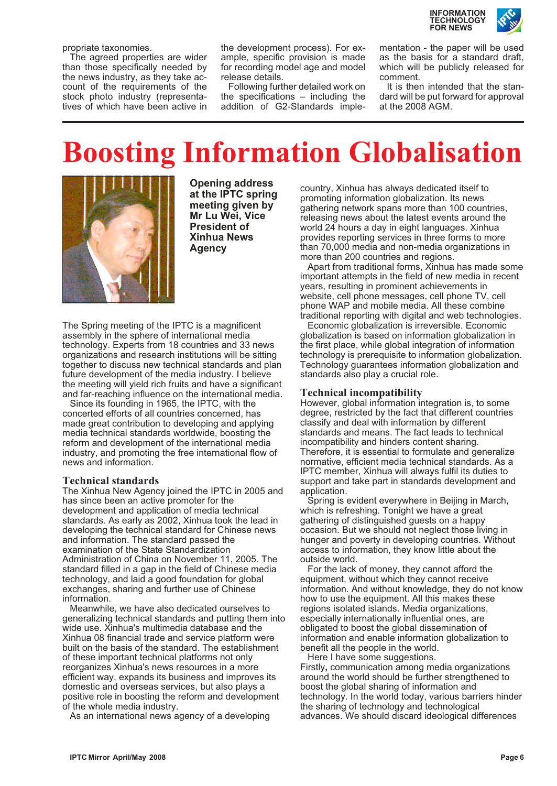

<span id="page-5-0"></span>propriate taxonomies.

The agreed properties are wider than those specifically needed by the news industry, as they take account of the requirements of the stock photo industry (representatives of which have been active in

the development process). For example, specific provision is made for recording model age and model release details.

Following further detailed work on the specifications – including the addition of G2-Standards implementation - the paper will be used as the basis for a standard draft, which will be publicly released for comment.

It is then intended that the standard will be put forward for approval at the 2008 AGM.

# **Boosting Information Globalisation**



**Opening address at the IPTC spring meeting given by Mr Lu Wei, Vice President of Xinhua News Agency**

The Spring meeting of the IPTC is a magnificent assembly in the sphere of international media technology. Experts from 18 countries and 33 news organizations and research institutions will be sitting together to discuss new technical standards and plan future development of the media industry. I believe the meeting will yield rich fruits and have a significant and far-reaching influence on the international media.

Since its founding in 1965, the IPTC, with the concerted efforts of all countries concerned, has made great contribution to developing and applying media technical standards worldwide, boosting the reform and development of the international media industry, and promoting the free international flow of news and information.

#### **Technical standards**

The Xinhua New Agency joined the IPTC in 2005 and has since been an active promoter for the development and application of media technical standards. As early as 2002, Xinhua took the lead in developing the technical standard for Chinese news and information. The standard passed the examination of the State Standardization Administration of China on November 11, 2005. The standard filled in a gap in the field of Chinese media technology, and laid a good foundation for global exchanges, sharing and further use of Chinese information.

Meanwhile, we have also dedicated ourselves to generalizing technical standards and putting them into wide use. Xinhua's multimedia database and the Xinhua 08 financial trade and service platform were built on the basis of the standard. The establishment of these important technical platforms not only reorganizes Xinhua's news resources in a more efficient way, expands its business and improves its domestic and overseas services, but also plays a positive role in boosting the reform and development of the whole media industry.

As an international news agency of a developing

country, Xinhua has always dedicated itself to promoting information globalization. Its news gathering network spans more than 100 countries, releasing news about the latest events around the world 24 hours a day in eight languages. Xinhua provides reporting services in three forms to more than 70,000 media and non-media organizations in more than 200 countries and regions.

Apart from traditional forms, Xinhua has made some important attempts in the field of new media in recent years, resulting in prominent achievements in website, cell phone messages, cell phone TV, cell phone WAP and mobile media. All these combine traditional reporting with digital and web technologies.

Economic globalization is irreversible. Economic globalization is based on information globalization in the first place, while global integration of information technology is prerequisite to information globalization. Technology guarantees information globalization and standards also play a crucial role.

#### **Technical incompatibility**

However, global information integration is, to some degree, restricted by the fact that different countries classify and deal with information by different standards and means. The fact leads to technical incompatibility and hinders content sharing. Therefore, it is essential to formulate and generalize normative, efficient media technical standards. As a IPTC member, Xinhua will always fulfil its duties to support and take part in standards development and application.

Spring is evident everywhere in Beijing in March, which is refreshing. Tonight we have a great gathering of distinguished guests on a happy occasion. But we should not neglect those living in hunger and poverty in developing countries. Without access to information, they know little about the outside world.

For the lack of money, they cannot afford the equipment, without which they cannot receive information. And without knowledge, they do not know how to use the equipment. All this makes these regions isolated islands. Media organizations, especially internationally influential ones, are obligated to boost the global dissemination of information and enable information globalization to benefit all the people in the world.

Here I have some suggestions. Firstly**,** communication among media organizations around the world should be further strengthened to boost the global sharing of information and technology. In the world today, various barriers hinder the sharing of technology and technological advances. We should discard ideological differences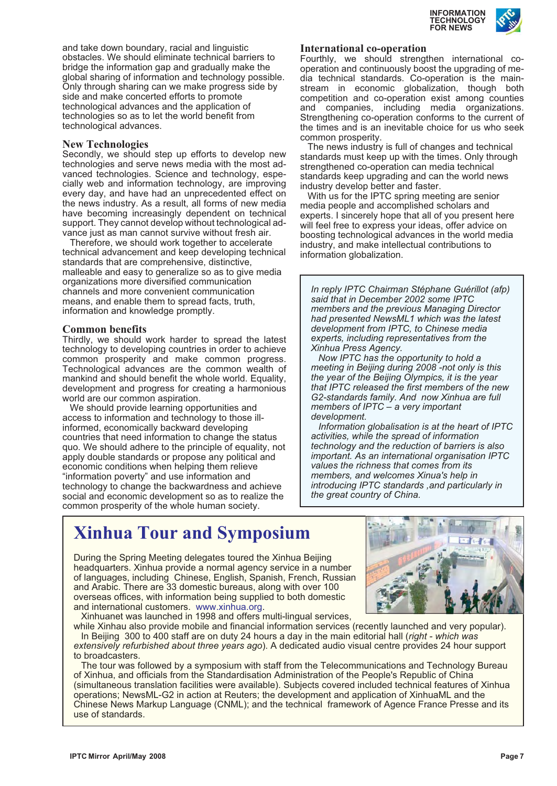

<span id="page-6-0"></span>and take down boundary, racial and linguistic obstacles. We should eliminate technical barriers to bridge the information gap and gradually make the global sharing of information and technology possible. Only through sharing can we make progress side by side and make concerted efforts to promote technological advances and the application of technologies so as to let the world benefit from technological advances.

#### **New Technologies**

Secondly, we should step up efforts to develop new technologies and serve news media with the most advanced technologies. Science and technology, especially web and information technology, are improving every day, and have had an unprecedented effect on the news industry. As a result, all forms of new media have becoming increasingly dependent on technical support. They cannot develop without technological advance just as man cannot survive without fresh air.

Therefore, we should work together to accelerate technical advancement and keep developing technical standards that are comprehensive, distinctive, malleable and easy to generalize so as to give media organizations more diversified communication channels and more convenient communication means, and enable them to spread facts, truth, information and knowledge promptly.

#### **Common benefits**

Thirdly, we should work harder to spread the latest technology to developing countries in order to achieve common prosperity and make common progress. Technological advances are the common wealth of mankind and should benefit the whole world. Equality, development and progress for creating a harmonious world are our common aspiration.

We should provide learning opportunities and access to information and technology to those illinformed, economically backward developing countries that need information to change the status quo. We should adhere to the principle of equality, not apply double standards or propose any political and economic conditions when helping them relieve "information poverty" and use information and technology to change the backwardness and achieve social and economic development so as to realize the common prosperity of the whole human society.

#### **International co-operation**

Fourthly, we should strengthen international cooperation and continuously boost the upgrading of media technical standards. Co-operation is the mainstream in economic globalization, though both competition and co-operation exist among counties and companies, including media organizations. Strengthening co-operation conforms to the current of the times and is an inevitable choice for us who seek common prosperity.

The news industry is full of changes and technical standards must keep up with the times. Only through strengthened co-operation can media technical standards keep upgrading and can the world news industry develop better and faster.

With us for the IPTC spring meeting are senior media people and accomplished scholars and experts. I sincerely hope that all of you present here will feel free to express your ideas, offer advice on boosting technological advances in the world media industry, and make intellectual contributions to information globalization.

*In reply IPTC Chairman Stéphane Guérillot (afp) said that in December 2002 some IPTC members and the previous Managing Director had presented NewsML1 which was the latest development from IPTC, to Chinese media experts, including representatives from the Xinhua Press Agency.*

*Now IPTC has the opportunity to hold a meeting in Beijing during 2008 -not only is this the year of the Beijing Olympics, it is the year that IPTC released the first members of the new G2-standards family. And now Xinhua are full members of IPTC – a very important development.*

*Information globalisation is at the heart of IPTC activities, while the spread of information technology and the reduction of barriers is also important. As an international organisation IPTC values the richness that comes from its members, and welcomes Xinua's help in introducing IPTC standards ,and particularly in the great country of China.*

# **Xinhua Tour and Symposium**

During the Spring Meeting delegates toured the Xinhua Beijing headquarters. Xinhua provide a normal agency service in a number of languages, including Chinese, English, Spanish, French, Russian and Arabic. There are 33 domestic bureaus, along with over 100 overseas offices, with information being supplied to both domestic and international customers. [www.xinhua.org.](http://www.xinhua.org)

Xinhuanet was launched in 1998 and offers multi-lingual services,

while Xinhau also provide mobile and financial information services (recently launched and very popular). In Beijing 300 to 400 staff are on duty 24 hours a day in the main editorial hall (*right - which was extensively refurbished about three years ago*). A dedicated audio visual centre provides 24 hour support to broadcasters.

The tour was followed by a symposium with staff from the Telecommunications and Technology Bureau of Xinhua, and officials from the Standardisation Administration of the People's Republic of China (simultaneous translation facilities were available). Subjects covered included technical features of Xinhua operations; NewsML-G2 in action at Reuters; the development and application of XinhuaML and the Chinese News Markup Language (CNML); and the technical framework of Agence France Presse and its use of standards.